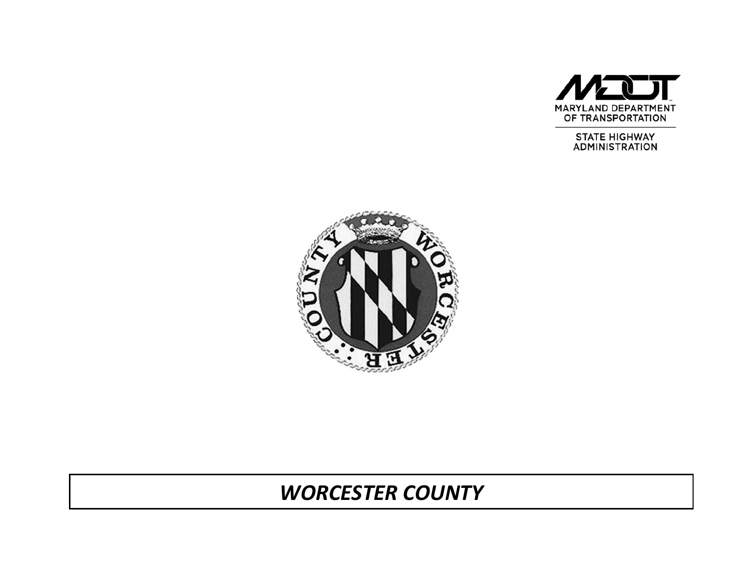

STATE HIGHWAY<br>ADMINISTRATION



# *WORCESTER COUNTY*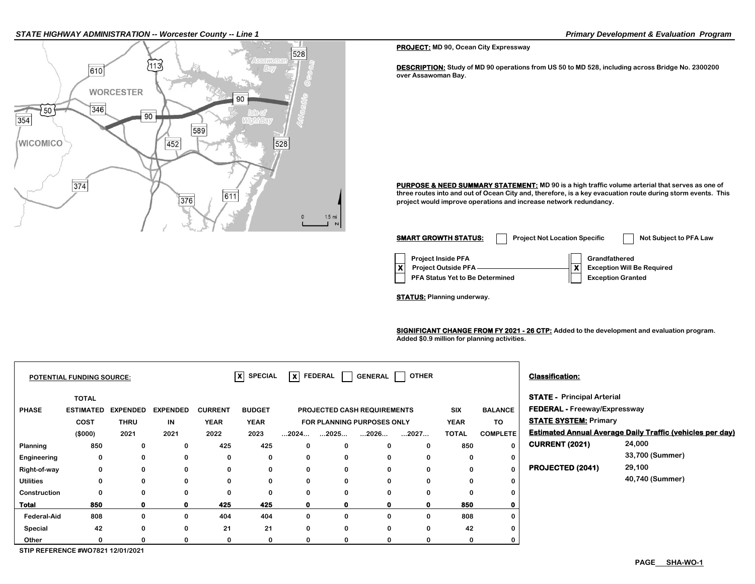### *STATE HIGHWAY ADMINISTRATION -- Worcester County -- Line 1 Primary Development & Evaluation Program*



**PROJECT: MD 90, Ocean City Expressway**

**DESCRIPTION: Study of MD 90 operations from US 50 to MD 528, including across Bridge No. 2300200 over Assawoman Bay.** 

**PURPOSE & NEED SUMMARY STATEMENT: MD 90 is a high traffic volume arterial that serves as one of three routes into and out of Ocean City and, therefore, is a key evacuation route during storm events. This project would improve operations and increase network redundancy.**

| <b>SMART GROWTH STATUS:</b>                                                                | <b>Project Not Location Specific</b> |                                                                                | Not Subject to PFA Law |
|--------------------------------------------------------------------------------------------|--------------------------------------|--------------------------------------------------------------------------------|------------------------|
| <b>Project Inside PFA</b><br><b>Project Outside PFA</b><br>PFA Status Yet to Be Determined | v                                    | Grandfathered<br><b>Exception Will Be Required</b><br><b>Exception Granted</b> |                        |

**STATUS: Planning underway.**

**SIGNIFICANT CHANGE FROM FY 2021 - 26 CTP:** Added to the development and evaluation program. **Added \$0.9 million for planning activities.** 

|                    | <b>POTENTIAL FUNDING SOURCE:</b>                    |                                        |                               |                                       | $\overline{\mathsf{x}}$ SPECIAL      |              |                      | $\overline{X}$ FEDERAL GENERAL                                                  | OTHER    |                                           |                                         | <b>Classification:</b>                                                                                   |                                                                  |
|--------------------|-----------------------------------------------------|----------------------------------------|-------------------------------|---------------------------------------|--------------------------------------|--------------|----------------------|---------------------------------------------------------------------------------|----------|-------------------------------------------|-----------------------------------------|----------------------------------------------------------------------------------------------------------|------------------------------------------------------------------|
| <b>PHASE</b>       | <b>TOTAL</b><br><b>ESTIMATED</b><br>COST<br>(\$000) | <b>EXPENDED</b><br><b>THRU</b><br>2021 | <b>EXPENDED</b><br>IN<br>2021 | <b>CURRENT</b><br><b>YEAR</b><br>2022 | <b>BUDGET</b><br><b>YEAR</b><br>2023 | 2024         | $\dots$ 2025 $\dots$ | <b>PROJECTED CASH REQUIREMENTS</b><br><b>FOR PLANNING PURPOSES ONLY</b><br>2026 | 2027     | <b>SIX</b><br><b>YEAR</b><br><b>TOTAL</b> | <b>BALANCE</b><br>TO<br><b>COMPLETE</b> | <b>STATE - Principal Arterial</b><br><b>FEDERAL - Freeway/Expressway</b><br><b>STATE SYSTEM: Primary</b> | <b>Estimated Annual Average Daily Traffic (vehicles per day)</b> |
| Planning           | 850                                                 | 0                                      | 0                             | 425                                   | 425                                  | 0            | 0                    | 0                                                                               | 0        | 850                                       | $\mathbf 0$                             | <b>CURRENT (2021)</b>                                                                                    | 24,000                                                           |
| Engineering        | 0                                                   | 0                                      | 0                             | 0                                     | 0                                    | 0            | 0                    | 0                                                                               | $\Omega$ | 0                                         | 0                                       |                                                                                                          | 33,700 (Summer)                                                  |
| Right-of-way       | 0                                                   | 0                                      | 0                             | 0                                     | 0                                    | $\mathbf 0$  | $\mathbf 0$          | 0                                                                               | $\Omega$ | 0                                         | $\mathbf 0$                             | <b>PROJECTED (2041)</b>                                                                                  | 29,100                                                           |
| <b>Utilities</b>   | 0                                                   | 0                                      | 0                             | 0                                     | 0                                    | 0            | 0                    | 0                                                                               | 0        | $\mathbf 0$                               | 0                                       |                                                                                                          | 40,740 (Summer)                                                  |
| Construction       | 0                                                   | $\Omega$                               | 0                             | 0                                     | 0                                    | $\mathbf 0$  | $\bf{0}$             | $\Omega$                                                                        | $\Omega$ | $\Omega$                                  | 0                                       |                                                                                                          |                                                                  |
| <b>Total</b>       | 850                                                 |                                        | 0                             | 425                                   | 425                                  | $\mathbf{0}$ | 0                    | 0                                                                               | O        | 850                                       | 0                                       |                                                                                                          |                                                                  |
| <b>Federal-Aid</b> | 808                                                 | $\mathbf{0}$                           | 0                             | 404                                   | 404                                  | 0            | 0                    | 0                                                                               | 0        | 808                                       | 0                                       |                                                                                                          |                                                                  |
| Special            | 42                                                  | 0                                      | 0                             | 21                                    | 21                                   | 0            | 0                    | 0                                                                               | $\Omega$ | 42                                        | 0                                       |                                                                                                          |                                                                  |
| Other              |                                                     |                                        | 0                             | 0                                     | 0                                    | 0            | 0                    | 0                                                                               | $\Omega$ | $\Omega$                                  | 0                                       |                                                                                                          |                                                                  |
|                    | STIP REFERENCE #WO7821 12/01/2021                   |                                        |                               |                                       |                                      |              |                      |                                                                                 |          |                                           |                                         |                                                                                                          |                                                                  |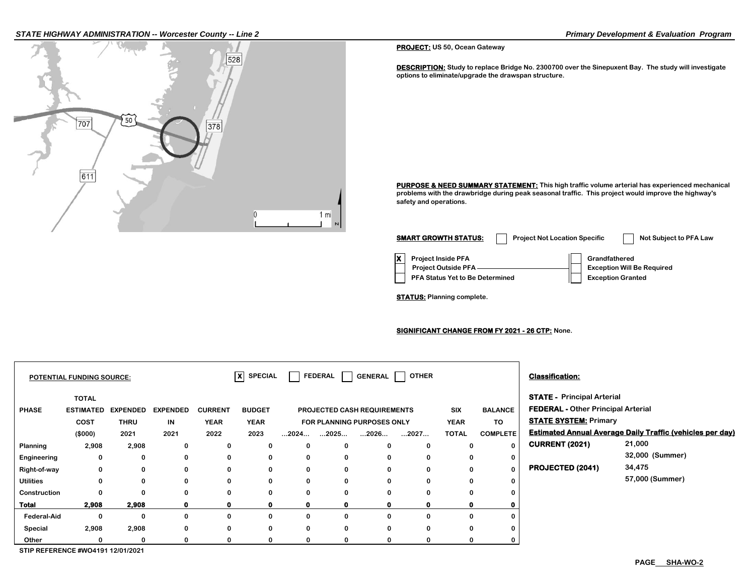### *STATE HIGHWAY ADMINISTRATION -- Worcester County -- Line 2 Primary Development & Evaluation Program*



#### **PROJECT: US 50, Ocean Gateway**

**DESCRIPTION: Study to replace Bridge No. 2300700 over the Sinepuxent Bay. The study will investigate options to eliminate/upgrade the drawspan structure.**

**PURPOSE & NEED SUMMARY STATEMENT: This high traffic volume arterial has experienced mechanical problems with the drawbridge during peak seasonal traffic. This project would improve the highway's safety and operations.**

| <b>SMART GROWTH STATUS:</b>                                                                | <b>Project Not Location Specific</b> |                                                                                | Not Subject to PFA Law |
|--------------------------------------------------------------------------------------------|--------------------------------------|--------------------------------------------------------------------------------|------------------------|
| <b>Project Inside PFA</b><br><b>Project Outside PFA</b><br>PFA Status Yet to Be Determined |                                      | Grandfathered<br><b>Exception Will Be Required</b><br><b>Exception Granted</b> |                        |

**STATUS: Planning complete.**

### **SIGNIFICANT CHANGE FROM FY 2021 - 26 CTP: None.**

|                    | <b>POTENTIAL FUNDING SOURCE:</b> |                 |                 |                | $\vert x \vert$<br><b>SPECIAL</b> |                      | FEDERAL                            | GENERAL      | <b>OTHER</b> |              |                 | <b>Classification:</b>                    |                                                                  |
|--------------------|----------------------------------|-----------------|-----------------|----------------|-----------------------------------|----------------------|------------------------------------|--------------|--------------|--------------|-----------------|-------------------------------------------|------------------------------------------------------------------|
|                    | <b>TOTAL</b>                     |                 |                 |                |                                   |                      |                                    |              |              |              |                 | <b>STATE - Principal Arterial</b>         |                                                                  |
| <b>PHASE</b>       | <b>ESTIMATED</b>                 | <b>EXPENDED</b> | <b>EXPENDED</b> | <b>CURRENT</b> | <b>BUDGET</b>                     |                      | <b>PROJECTED CASH REQUIREMENTS</b> |              |              | <b>SIX</b>   | <b>BALANCE</b>  | <b>FEDERAL - Other Principal Arterial</b> |                                                                  |
|                    | COST                             | <b>THRU</b>     | IN              | <b>YEAR</b>    | <b>YEAR</b>                       |                      | FOR PLANNING PURPOSES ONLY         |              |              | <b>YEAR</b>  | TO              | <b>STATE SYSTEM: Primary</b>              |                                                                  |
|                    | (\$000)                          | 2021            | 2021            | 2022           | 2023                              | $\dots$ 2024 $\dots$ | 2025                               | 2026         | 2027         | <b>TOTAL</b> | <b>COMPLETE</b> |                                           | <b>Estimated Annual Average Daily Traffic (vehicles per day)</b> |
| Planning           | 2,908                            | 2,908           | 0               | 0              | 0                                 | 0                    | $\bf{0}$                           | 0            |              | $\bf{0}$     | $\mathbf{0}$    | <b>CURRENT (2021)</b>                     | 21,000                                                           |
| Engineering        | 0                                | 0               | 0               | 0              | 0                                 | 0                    | 0                                  | 0            |              | 0            | $\mathbf 0$     |                                           | 32,000 (Summer)                                                  |
| Right-of-way       | 0                                | 0               | $\bf{0}$        | 0              | 0                                 | 0                    | 0                                  | 0            |              | 0            | $\mathbf{0}$    | <b>PROJECTED (2041)</b>                   | 34,475                                                           |
| <b>Utilities</b>   | 0                                | 0               | 0               | 0              | 0                                 | 0                    | 0                                  | 0            |              | $\bf{0}$     | 0               |                                           | 57,000 (Summer)                                                  |
| Construction       | 0                                | 0               | $\bf{0}$        | 0              | $\bf{0}$                          | 0                    | $\bf{0}$                           | $\bf{0}$     |              | $\bf{0}$     | 0               |                                           |                                                                  |
| <b>Total</b>       | 2,908                            | 2,908           | 0               | $\mathbf 0$    | $\mathbf 0$                       | $\mathbf{o}$         | $\mathbf 0$                        | $\mathbf{0}$ |              | 0            | 0               |                                           |                                                                  |
| <b>Federal-Aid</b> | 0                                | 0               | $\bf{0}$        | 0              | 0                                 | 0                    | 0                                  | 0            |              | 0            | 0               |                                           |                                                                  |
| Special            | 2,908                            | 2,908           | $\Omega$        | 0              | 0                                 | 0                    | $\bf{0}$                           | $\Omega$     |              | 0            | 0               |                                           |                                                                  |
| Other              | 0                                | 0               | 0               | 0              | 0                                 | 0                    | 0                                  | 0            |              | 0            | 0               |                                           |                                                                  |

**STIP REFERENCE #WO4191 12/01/2021**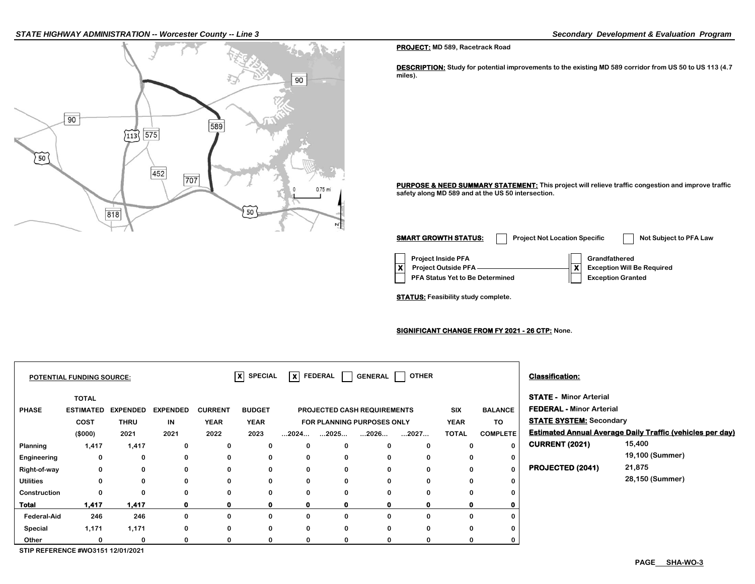#### *STATE HIGHWAY ADMINISTRATION -- Worcester County -- Line 3 Secondary Development & Evaluation Program*



#### **PROJECT: MD 589, Racetrack Road**

**DESCRIPTION: Study for potential improvements to the existing MD 589 corridor from US 50 to US 113 (4.7 miles).**

**PURPOSE & NEED SUMMARY STATEMENT: This project will relieve traffic congestion and improve traffic safety along MD 589 and at the US 50 intersection.**

**Project Inside PFA Grandfathered PFA Status Yet to Be Determined**  | Exception Granted **X** Project Outside PFA ———————————**X** Exception Will Be Required **SMART GROWTH STATUS:** Project Not Location Specific Not Subject to PFA Law

**STATUS: Feasibility study complete.**

### **SIGNIFICANT CHANGE FROM FY 2021 - 26 CTP: None.**

|                  | <b>POTENTIAL FUNDING SOURCE:</b>                    |                                        |                               |                                       | $ X $ SPECIAL                        |                      |             |                                                                          | $X$ FEDERAL GENERAL OTHER |                                           |                                         | <b>Classification:</b>                                                                             |                                                                  |
|------------------|-----------------------------------------------------|----------------------------------------|-------------------------------|---------------------------------------|--------------------------------------|----------------------|-------------|--------------------------------------------------------------------------|---------------------------|-------------------------------------------|-----------------------------------------|----------------------------------------------------------------------------------------------------|------------------------------------------------------------------|
| <b>PHASE</b>     | <b>TOTAL</b><br><b>ESTIMATED</b><br>COST<br>(\$000) | <b>EXPENDED</b><br><b>THRU</b><br>2021 | <b>EXPENDED</b><br>IN<br>2021 | <b>CURRENT</b><br><b>YEAR</b><br>2022 | <b>BUDGET</b><br><b>YEAR</b><br>2023 | $\dots$ 2024 $\dots$ | 2025        | <b>PROJECTED CASH REQUIREMENTS</b><br>FOR PLANNING PURPOSES ONLY<br>2026 | 2027                      | <b>SIX</b><br><b>YEAR</b><br><b>TOTAL</b> | <b>BALANCE</b><br>TO<br><b>COMPLETE</b> | <b>STATE - Minor Arterial</b><br><b>FEDERAL - Minor Arterial</b><br><b>STATE SYSTEM: Secondary</b> | <b>Estimated Annual Average Daily Traffic (vehicles per day)</b> |
| Planning         | 1,417                                               | 1,417                                  | 0                             | 0                                     | 0                                    | 0                    | 0           | 0                                                                        | 0                         | $\mathbf 0$                               | 0                                       | <b>CURRENT (2021)</b>                                                                              | 15,400                                                           |
| Engineering      | 0                                                   | 0                                      | 0                             | 0                                     | 0                                    | 0                    | 0           | 0                                                                        | 0                         | 0                                         | 0                                       |                                                                                                    | 19,100 (Summer)                                                  |
| Right-of-way     | 0                                                   | 0                                      | 0                             | 0                                     | 0                                    | 0                    | 0           | 0                                                                        | 0                         | $\bf{0}$                                  | $\mathbf{0}$                            | <b>PROJECTED (2041)</b>                                                                            | 21,875                                                           |
| <b>Utilities</b> |                                                     | 0                                      | 0                             | 0                                     | 0                                    | 0                    | 0           | 0                                                                        | 0                         | $\Omega$                                  | $\mathbf 0$                             |                                                                                                    | 28,150 (Summer)                                                  |
| Construction     | 0                                                   | 0                                      | $\mathbf{0}$                  | 0                                     | 0                                    | 0                    | 0           | $\bf{0}$                                                                 | $\bf{0}$                  | $\bf{0}$                                  | 0                                       |                                                                                                    |                                                                  |
| <b>Total</b>     | 1,417                                               | 1,417                                  | $\mathbf{0}$                  | $\mathbf 0$                           | 0                                    | 0                    | $\mathbf 0$ | $\mathbf 0$                                                              | 0                         |                                           | 0                                       |                                                                                                    |                                                                  |
| Federal-Aid      | 246                                                 | 246                                    | 0                             | 0                                     | 0                                    | 0                    | 0           | 0                                                                        | 0                         | $\bf{0}$                                  | 0                                       |                                                                                                    |                                                                  |
| Special          | 1,171                                               | 1,171                                  | 0                             | 0                                     | 0                                    | 0                    | 0           | $\bf{0}$                                                                 | 0                         | $\Omega$                                  | 0                                       |                                                                                                    |                                                                  |
| Other            |                                                     | 0                                      | 0                             | 0                                     | 0                                    | 0                    | 0           | 0                                                                        |                           | $\Omega$                                  | 0                                       |                                                                                                    |                                                                  |

**STIP REFERENCE #WO3151 12/01/2021**